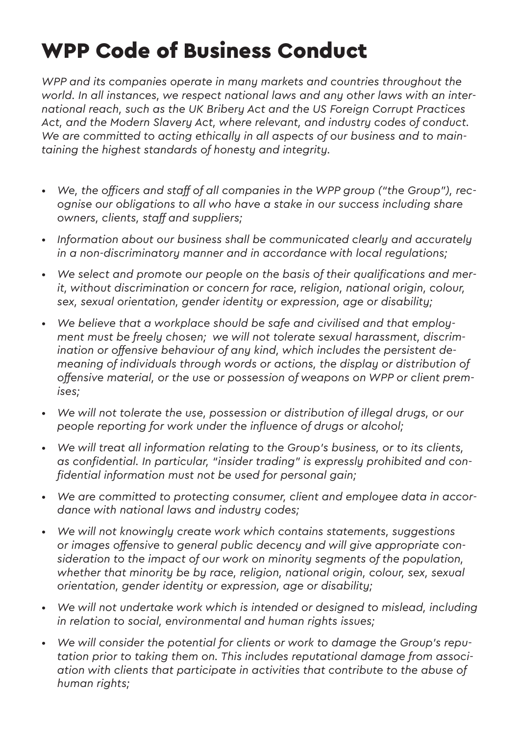## WPP Code of Business Conduct

*WPP and its companies operate in many markets and countries throughout the world. In all instances, we respect national laws and any other laws with an international reach, such as the UK Bribery Act and the US Foreign Corrupt Practices Act, and the Modern Slavery Act, where relevant, and industry codes of conduct. We are committed to acting ethically in all aspects of our business and to maintaining the highest standards of honesty and integrity.*

- *• We, the officers and staff of all companies in the WPP group ("the Group"), recognise our obligations to all who have a stake in our success including share owners, clients, staff and suppliers;*
- *• Information about our business shall be communicated clearly and accurately in a non-discriminatory manner and in accordance with local regulations;*
- *• We select and promote our people on the basis of their qualifications and merit, without discrimination or concern for race, religion, national origin, colour, sex, sexual orientation, gender identity or expression, age or disability;*
- *• We believe that a workplace should be safe and civilised and that employment must be freely chosen; we will not tolerate sexual harassment, discrimination or offensive behaviour of any kind, which includes the persistent demeaning of individuals through words or actions, the display or distribution of offensive material, or the use or possession of weapons on WPP or client premises;*
- We will not tolerate the use, possession or distribution of illegal drugs, or our *people reporting for work under the influence of drugs or alcohol;*
- *• We will treat all information relating to the Group's business, or to its clients, as confidential. In particular, "insider trading" is expressly prohibited and confidential information must not be used for personal gain;*
- *• We are committed to protecting consumer, client and employee data in accordance with national laws and industry codes;*
- *• We will not knowingly create work which contains statements, suggestions or images offensive to general public decency and will give appropriate consideration to the impact of our work on minority segments of the population, whether that minority be by race, religion, national origin, colour, sex, sexual orientation, gender identity or expression, age or disability;*
- *• We will not undertake work which is intended or designed to mislead, including in relation to social, environmental and human rights issues;*
- *• We will consider the potential for clients or work to damage the Group's reputation prior to taking them on. This includes reputational damage from association with clients that participate in activities that contribute to the abuse of human rights;*